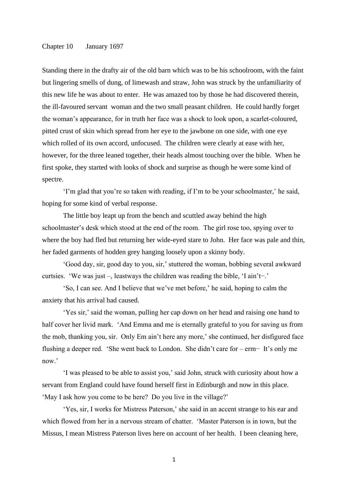## Chapter 10 January 1697

Standing there in the drafty air of the old barn which was to be his schoolroom, with the faint but lingering smells of dung, of limewash and straw, John was struck by the unfamiliarity of this new life he was about to enter. He was amazed too by those he had discovered therein, the ill-favoured servant woman and the two small peasant children. He could hardly forget the woman's appearance, for in truth her face was a shock to look upon, a scarlet-coloured, pitted crust of skin which spread from her eye to the jawbone on one side, with one eye which rolled of its own accord, unfocused. The children were clearly at ease with her, however, for the three leaned together, their heads almost touching over the bible. When he first spoke, they started with looks of shock and surprise as though he were some kind of spectre.

'I'm glad that you're so taken with reading, if I'm to be your schoolmaster,' he said, hoping for some kind of verbal response.

The little boy leapt up from the bench and scuttled away behind the high schoolmaster's desk which stood at the end of the room. The girl rose too, spying over to where the boy had fled but returning her wide-eyed stare to John. Her face was pale and thin, her faded garments of hodden grey hanging loosely upon a skinny body.

'Good day, sir, good day to you, sir,' stuttered the woman, bobbing several awkward curtsies. 'We was just –, leastways the children was reading the bible, 'I ain't−.'

'So, I can see. And I believe that we've met before,' he said, hoping to calm the anxiety that his arrival had caused.

'Yes sir,' said the woman, pulling her cap down on her head and raising one hand to half cover her livid mark. 'And Emma and me is eternally grateful to you for saving us from the mob, thanking you, sir. Only Em ain't here any more,' she continued, her disfigured face flushing a deeper red. 'She went back to London. She didn't care for – erm− It's only me now.'

'I was pleased to be able to assist you,' said John, struck with curiosity about how a servant from England could have found herself first in Edinburgh and now in this place. 'May I ask how you come to be here? Do you live in the village?'

'Yes, sir, I works for Mistress Paterson,' she said in an accent strange to his ear and which flowed from her in a nervous stream of chatter. 'Master Paterson is in town, but the Missus, I mean Mistress Paterson lives here on account of her health. I been cleaning here,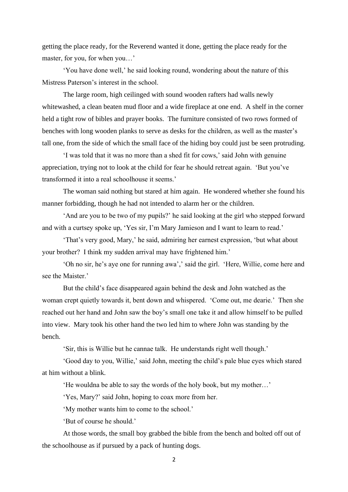getting the place ready, for the Reverend wanted it done, getting the place ready for the master, for you, for when you…'

'You have done well,' he said looking round, wondering about the nature of this Mistress Paterson's interest in the school.

The large room, high ceilinged with sound wooden rafters had walls newly whitewashed, a clean beaten mud floor and a wide fireplace at one end. A shelf in the corner held a tight row of bibles and prayer books. The furniture consisted of two rows formed of benches with long wooden planks to serve as desks for the children, as well as the master's tall one, from the side of which the small face of the hiding boy could just be seen protruding.

'I was told that it was no more than a shed fit for cows,' said John with genuine appreciation, trying not to look at the child for fear he should retreat again. 'But you've transformed it into a real schoolhouse it seems.'

The woman said nothing but stared at him again. He wondered whether she found his manner forbidding, though he had not intended to alarm her or the children.

'And are you to be two of my pupils?' he said looking at the girl who stepped forward and with a curtsey spoke up, 'Yes sir, I'm Mary Jamieson and I want to learn to read.'

'That's very good, Mary,' he said, admiring her earnest expression, 'but what about your brother? I think my sudden arrival may have frightened him.'

'Oh no sir, he's aye one for running awa',' said the girl. 'Here, Willie, come here and see the Maister.'

But the child's face disappeared again behind the desk and John watched as the woman crept quietly towards it, bent down and whispered. 'Come out, me dearie.' Then she reached out her hand and John saw the boy's small one take it and allow himself to be pulled into view. Mary took his other hand the two led him to where John was standing by the bench.

'Sir, this is Willie but he cannae talk. He understands right well though.'

'Good day to you, Willie,' said John, meeting the child's pale blue eyes which stared at him without a blink.

'He wouldna be able to say the words of the holy book, but my mother…'

'Yes, Mary?' said John, hoping to coax more from her.

'My mother wants him to come to the school.'

'But of course he should.'

At those words, the small boy grabbed the bible from the bench and bolted off out of the schoolhouse as if pursued by a pack of hunting dogs.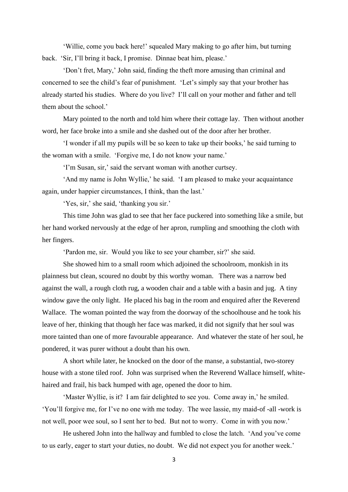'Willie, come you back here!' squealed Mary making to go after him, but turning back. 'Sir, I'll bring it back, I promise. Dinnae beat him, please.'

'Don't fret, Mary,' John said, finding the theft more amusing than criminal and concerned to see the child's fear of punishment. 'Let's simply say that your brother has already started his studies. Where do you live? I'll call on your mother and father and tell them about the school.'

Mary pointed to the north and told him where their cottage lay. Then without another word, her face broke into a smile and she dashed out of the door after her brother.

'I wonder if all my pupils will be so keen to take up their books,' he said turning to the woman with a smile. 'Forgive me, I do not know your name.'

'I'm Susan, sir,' said the servant woman with another curtsey.

'And my name is John Wyllie,' he said. 'I am pleased to make your acquaintance again, under happier circumstances, I think, than the last.'

'Yes, sir,' she said, 'thanking you sir.'

This time John was glad to see that her face puckered into something like a smile, but her hand worked nervously at the edge of her apron, rumpling and smoothing the cloth with her fingers.

'Pardon me, sir. Would you like to see your chamber, sir?' she said.

She showed him to a small room which adjoined the schoolroom, monkish in its plainness but clean, scoured no doubt by this worthy woman. There was a narrow bed against the wall, a rough cloth rug, a wooden chair and a table with a basin and jug. A tiny window gave the only light. He placed his bag in the room and enquired after the Reverend Wallace. The woman pointed the way from the doorway of the schoolhouse and he took his leave of her, thinking that though her face was marked, it did not signify that her soul was more tainted than one of more favourable appearance. And whatever the state of her soul, he pondered, it was purer without a doubt than his own.

A short while later, he knocked on the door of the manse, a substantial, two-storey house with a stone tiled roof. John was surprised when the Reverend Wallace himself, whitehaired and frail, his back humped with age, opened the door to him.

'Master Wyllie, is it? I am fair delighted to see you. Come away in,' he smiled. 'You'll forgive me, for I've no one with me today. The wee lassie, my maid-of -all -work is not well, poor wee soul, so I sent her to bed. But not to worry. Come in with you now.'

He ushered John into the hallway and fumbled to close the latch. 'And you've come to us early, eager to start your duties, no doubt. We did not expect you for another week.'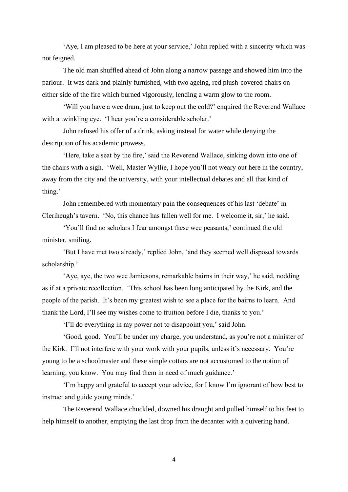'Aye, I am pleased to be here at your service,' John replied with a sincerity which was not feigned.

The old man shuffled ahead of John along a narrow passage and showed him into the parlour. It was dark and plainly furnished, with two ageing, red plush-covered chairs on either side of the fire which burned vigorously, lending a warm glow to the room.

'Will you have a wee dram, just to keep out the cold?' enquired the Reverend Wallace with a twinkling eye. 'I hear you're a considerable scholar.'

John refused his offer of a drink, asking instead for water while denying the description of his academic prowess.

'Here, take a seat by the fire,' said the Reverend Wallace, sinking down into one of the chairs with a sigh. 'Well, Master Wyllie, I hope you'll not weary out here in the country, away from the city and the university, with your intellectual debates and all that kind of thing.'

John remembered with momentary pain the consequences of his last 'debate' in Cleriheugh's tavern. 'No, this chance has fallen well for me. I welcome it, sir,' he said.

'You'll find no scholars I fear amongst these wee peasants,' continued the old minister, smiling.

'But I have met two already,' replied John, 'and they seemed well disposed towards scholarship.'

'Aye, aye, the two wee Jamiesons, remarkable bairns in their way,' he said, nodding as if at a private recollection. 'This school has been long anticipated by the Kirk, and the people of the parish. It's been my greatest wish to see a place for the bairns to learn. And thank the Lord, I'll see my wishes come to fruition before I die, thanks to you.'

'I'll do everything in my power not to disappoint you,' said John.

'Good, good. You'll be under my charge, you understand, as you're not a minister of the Kirk. I'll not interfere with your work with your pupils, unless it's necessary. You're young to be a schoolmaster and these simple cottars are not accustomed to the notion of learning, you know. You may find them in need of much guidance.'

'I'm happy and grateful to accept your advice, for I know I'm ignorant of how best to instruct and guide young minds.'

The Reverend Wallace chuckled, downed his draught and pulled himself to his feet to help himself to another, emptying the last drop from the decanter with a quivering hand.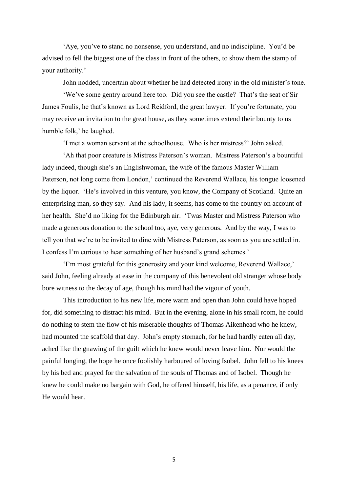'Aye, you've to stand no nonsense, you understand, and no indiscipline. You'd be advised to fell the biggest one of the class in front of the others, to show them the stamp of your authority.'

John nodded, uncertain about whether he had detected irony in the old minister's tone.

'We've some gentry around here too. Did you see the castle? That's the seat of Sir James Foulis, he that's known as Lord Reidford, the great lawyer. If you're fortunate, you may receive an invitation to the great house, as they sometimes extend their bounty to us humble folk,' he laughed.

'I met a woman servant at the schoolhouse. Who is her mistress?' John asked.

'Ah that poor creature is Mistress Paterson's woman. Mistress Paterson's a bountiful lady indeed, though she's an Englishwoman, the wife of the famous Master William Paterson, not long come from London,' continued the Reverend Wallace, his tongue loosened by the liquor. 'He's involved in this venture, you know, the Company of Scotland. Quite an enterprising man, so they say. And his lady, it seems, has come to the country on account of her health. She'd no liking for the Edinburgh air. 'Twas Master and Mistress Paterson who made a generous donation to the school too, aye, very generous. And by the way, I was to tell you that we're to be invited to dine with Mistress Paterson, as soon as you are settled in. I confess I'm curious to hear something of her husband's grand schemes.'

'I'm most grateful for this generosity and your kind welcome, Reverend Wallace,' said John, feeling already at ease in the company of this benevolent old stranger whose body bore witness to the decay of age, though his mind had the vigour of youth.

This introduction to his new life, more warm and open than John could have hoped for, did something to distract his mind. But in the evening, alone in his small room, he could do nothing to stem the flow of his miserable thoughts of Thomas Aikenhead who he knew, had mounted the scaffold that day. John's empty stomach, for he had hardly eaten all day, ached like the gnawing of the guilt which he knew would never leave him. Nor would the painful longing, the hope he once foolishly harboured of loving Isobel. John fell to his knees by his bed and prayed for the salvation of the souls of Thomas and of Isobel. Though he knew he could make no bargain with God, he offered himself, his life, as a penance, if only He would hear.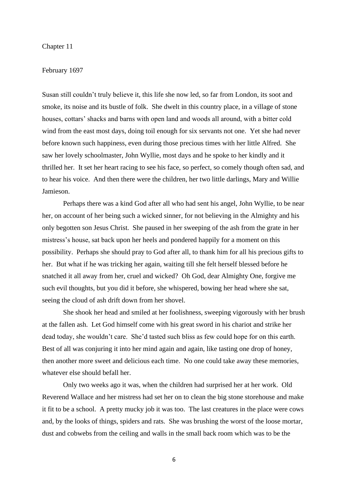## Chapter 11

#### February 1697

Susan still couldn't truly believe it, this life she now led, so far from London, its soot and smoke, its noise and its bustle of folk. She dwelt in this country place, in a village of stone houses, cottars' shacks and barns with open land and woods all around, with a bitter cold wind from the east most days, doing toil enough for six servants not one. Yet she had never before known such happiness, even during those precious times with her little Alfred. She saw her lovely schoolmaster, John Wyllie, most days and he spoke to her kindly and it thrilled her. It set her heart racing to see his face, so perfect, so comely though often sad, and to hear his voice. And then there were the children, her two little darlings, Mary and Willie Jamieson.

Perhaps there was a kind God after all who had sent his angel, John Wyllie, to be near her, on account of her being such a wicked sinner, for not believing in the Almighty and his only begotten son Jesus Christ. She paused in her sweeping of the ash from the grate in her mistress's house, sat back upon her heels and pondered happily for a moment on this possibility. Perhaps she should pray to God after all, to thank him for all his precious gifts to her. But what if he was tricking her again, waiting till she felt herself blessed before he snatched it all away from her, cruel and wicked? Oh God, dear Almighty One, forgive me such evil thoughts, but you did it before, she whispered, bowing her head where she sat, seeing the cloud of ash drift down from her shovel.

She shook her head and smiled at her foolishness, sweeping vigorously with her brush at the fallen ash. Let God himself come with his great sword in his chariot and strike her dead today, she wouldn't care. She'd tasted such bliss as few could hope for on this earth. Best of all was conjuring it into her mind again and again, like tasting one drop of honey, then another more sweet and delicious each time. No one could take away these memories, whatever else should befall her.

Only two weeks ago it was, when the children had surprised her at her work. Old Reverend Wallace and her mistress had set her on to clean the big stone storehouse and make it fit to be a school. A pretty mucky job it was too. The last creatures in the place were cows and, by the looks of things, spiders and rats. She was brushing the worst of the loose mortar, dust and cobwebs from the ceiling and walls in the small back room which was to be the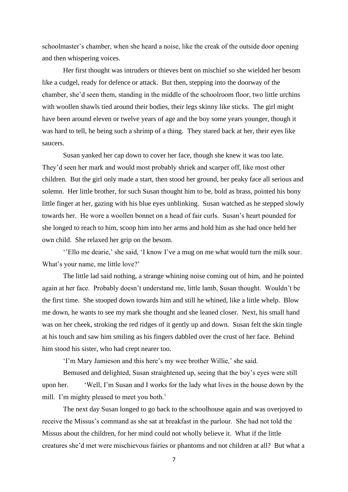schoolmaster's chamber, when she heard a noise, like the creak of the outside door opening and then whispering voices.

Her first thought was intruders or thieves bent on mischief so she wielded her besom like a cudgel, ready for defence or attack. But then, stepping into the doorway of the chamber, she'd seen them, standing in the middle of the schoolroom floor, two little urchins with woollen shawls tied around their bodies, their legs skinny like sticks. The girl might have been around eleven or twelve years of age and the boy some years younger, though it was hard to tell, he being such a shrimp of a thing. They stared back at her, their eyes like saucers.

Susan yanked her cap down to cover her face, though she knew it was too late. They'd seen her mark and would most probably shriek and scarper off, like most other children. But the girl only made a start, then stood her ground, her peaky face all serious and solemn. Her little brother, for such Susan thought him to be, bold as brass, pointed his bony little finger at her, gazing with his blue eyes unblinking. Susan watched as he stepped slowly towards her. He wore a woollen bonnet on a head of fair curls. Susan's heart pounded for she longed to reach to him, scoop him into her arms and hold him as she had once held her own child. She relaxed her grip on the besom.

''Ello me dearie,' she said, 'I know I've a mug on me what would turn the milk sour. What's your name, me little love?'

The little lad said nothing, a strange whining noise coming out of him, and he pointed again at her face. Probably doesn't understand me, little lamb, Susan thought. Wouldn't be the first time. She stooped down towards him and still he whined, like a little whelp. Blow me down, he wants to see my mark she thought and she leaned closer. Next, his small hand was on her cheek, stroking the red ridges of it gently up and down. Susan felt the skin tingle at his touch and saw him smiling as his fingers dabbled over the crust of her face. Behind him stood his sister, who had crept nearer too.

'I'm Mary Jamieson and this here's my wee brother Willie,' she said.

Bemused and delighted, Susan straightened up, seeing that the boy's eyes were still upon her. 'Well, I'm Susan and I works for the lady what lives in the house down by the mill. I'm mighty pleased to meet you both.'

The next day Susan longed to go back to the schoolhouse again and was overjoyed to receive the Missus's command as she sat at breakfast in the parlour. She had not told the Missus about the children, for her mind could not wholly believe it. What if the little creatures she'd met were mischievous fairies or phantoms and not children at all? But what a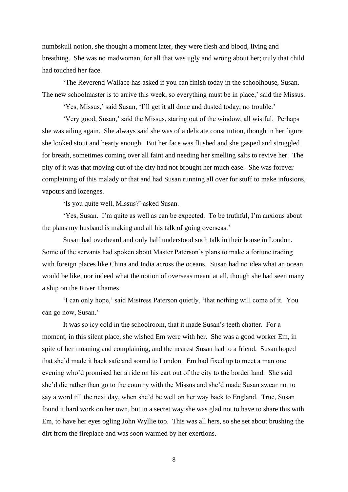numbskull notion, she thought a moment later, they were flesh and blood, living and breathing. She was no madwoman, for all that was ugly and wrong about her; truly that child had touched her face.

'The Reverend Wallace has asked if you can finish today in the schoolhouse, Susan. The new schoolmaster is to arrive this week, so everything must be in place,' said the Missus.

'Yes, Missus,' said Susan, 'I'll get it all done and dusted today, no trouble.'

'Very good, Susan,' said the Missus, staring out of the window, all wistful. Perhaps she was ailing again. She always said she was of a delicate constitution, though in her figure she looked stout and hearty enough. But her face was flushed and she gasped and struggled for breath, sometimes coming over all faint and needing her smelling salts to revive her. The pity of it was that moving out of the city had not brought her much ease. She was forever complaining of this malady or that and had Susan running all over for stuff to make infusions, vapours and lozenges.

'Is you quite well, Missus?' asked Susan.

'Yes, Susan. I'm quite as well as can be expected. To be truthful, I'm anxious about the plans my husband is making and all his talk of going overseas.'

Susan had overheard and only half understood such talk in their house in London. Some of the servants had spoken about Master Paterson's plans to make a fortune trading with foreign places like China and India across the oceans. Susan had no idea what an ocean would be like, nor indeed what the notion of overseas meant at all, though she had seen many a ship on the River Thames.

'I can only hope,' said Mistress Paterson quietly, 'that nothing will come of it. You can go now, Susan.'

It was so icy cold in the schoolroom, that it made Susan's teeth chatter. For a moment, in this silent place, she wished Em were with her. She was a good worker Em, in spite of her moaning and complaining, and the nearest Susan had to a friend. Susan hoped that she'd made it back safe and sound to London. Em had fixed up to meet a man one evening who'd promised her a ride on his cart out of the city to the border land. She said she'd die rather than go to the country with the Missus and she'd made Susan swear not to say a word till the next day, when she'd be well on her way back to England. True, Susan found it hard work on her own, but in a secret way she was glad not to have to share this with Em, to have her eyes ogling John Wyllie too. This was all hers, so she set about brushing the dirt from the fireplace and was soon warmed by her exertions.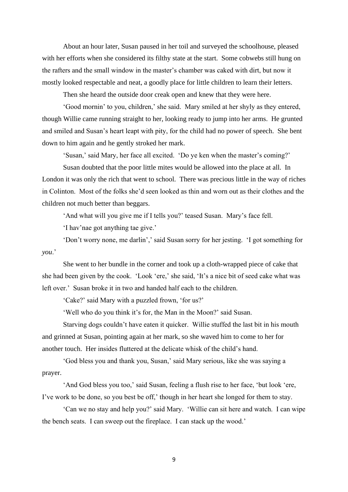About an hour later, Susan paused in her toil and surveyed the schoolhouse, pleased with her efforts when she considered its filthy state at the start. Some cobwebs still hung on the rafters and the small window in the master's chamber was caked with dirt, but now it mostly looked respectable and neat, a goodly place for little children to learn their letters.

Then she heard the outside door creak open and knew that they were here.

'Good mornin' to you, children,' she said. Mary smiled at her shyly as they entered, though Willie came running straight to her, looking ready to jump into her arms. He grunted and smiled and Susan's heart leapt with pity, for the child had no power of speech. She bent down to him again and he gently stroked her mark.

'Susan,' said Mary, her face all excited. 'Do ye ken when the master's coming?'

Susan doubted that the poor little mites would be allowed into the place at all. In London it was only the rich that went to school. There was precious little in the way of riches in Colinton. Most of the folks she'd seen looked as thin and worn out as their clothes and the children not much better than beggars.

'And what will you give me if I tells you?' teased Susan. Mary's face fell.

'I hav'nae got anything tae give.'

'Don't worry none, me darlin',' said Susan sorry for her jesting. 'I got something for *you*.'

She went to her bundle in the corner and took up a cloth-wrapped piece of cake that she had been given by the cook. 'Look 'ere,' she said, 'It's a nice bit of seed cake what was left over.' Susan broke it in two and handed half each to the children.

'Cake?' said Mary with a puzzled frown, 'for us?'

'Well who do you think it's for, the Man in the Moon?' said Susan.

Starving dogs couldn't have eaten it quicker. Willie stuffed the last bit in his mouth and grinned at Susan, pointing again at her mark, so she waved him to come to her for another touch. Her insides fluttered at the delicate whisk of the child's hand.

'God bless you and thank you, Susan,' said Mary serious, like she was saying a prayer.

'And God bless you too,' said Susan, feeling a flush rise to her face, 'but look 'ere, I've work to be done, so you best be off,' though in her heart she longed for them to stay.

'Can we no stay and help you?' said Mary. 'Willie can sit here and watch. I can wipe the bench seats. I can sweep out the fireplace. I can stack up the wood.'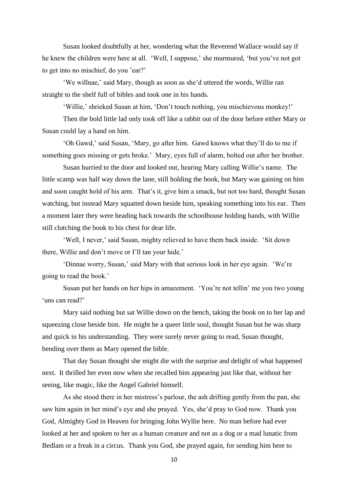Susan looked doubtfully at her, wondering what the Reverend Wallace would say if he knew the children were here at all. 'Well, I suppose,' she murmured, 'but you've not got to get into no mischief, do you 'ear?'

'We willnae,' said Mary, though as soon as she'd uttered the words, Willie ran straight to the shelf full of bibles and took one in his hands.

'Willie,' shrieked Susan at him, 'Don't touch nothing, you mischievous monkey!'

Then the bold little lad only took off like a rabbit out of the door before either Mary or Susan could lay a hand on him.

'Oh Gawd,' said Susan, 'Mary, go after him. Gawd knows what they'll do to me if something goes missing or gets broke.' Mary, eyes full of alarm, bolted out after her brother.

Susan hurried to the door and looked out, hearing Mary calling Willie's name. The little scamp was half way down the lane, still holding the book, but Mary was gaining on him and soon caught hold of his arm. That's it, give him a smack, but not too hard, thought Susan watching, but instead Mary squatted down beside him, speaking something into his ear. Then a moment later they were heading back towards the schoolhouse holding hands, with Willie still clutching the book to his chest for dear life.

'Well, I never,' said Susan, mighty relieved to have them back inside. 'Sit down there, Willie and don't move or I'll tan your hide.'

'Dinnae worry, Susan,' said Mary with that serious look in her eye again. 'We're going to read the book.'

Susan put her hands on her hips in amazement. 'You're not tellin' me you two young 'uns can read?'

Mary said nothing but sat Willie down on the bench, taking the book on to her lap and squeezing close beside him. He might be a queer little soul, thought Susan but he was sharp and quick in his understanding. They were surely never going to read, Susan thought, bending over them as Mary opened the bible.

That day Susan thought she might die with the surprise and delight of what happened next. It thrilled her even now when she recalled him appearing just like that, without her seeing, like magic, like the Angel Gabriel himself.

As she stood there in her mistress's parlour, the ash drifting gently from the pan, she saw him again in her mind's eye and she prayed. Yes, she'd pray to God now. Thank you God, Almighty God in Heaven for bringing John Wyllie here. No man before had ever looked at her and spoken to her as a human creature and not as a dog or a mad lunatic from Bedlam or a freak in a circus. Thank you God, she prayed again, for sending him here to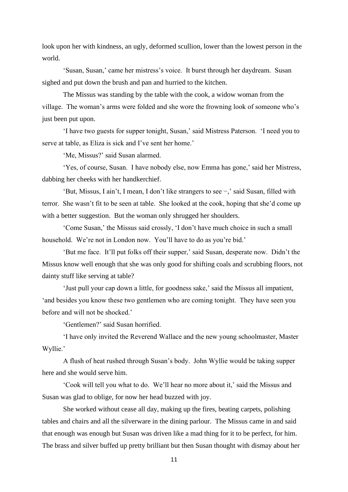look upon her with kindness, an ugly, deformed scullion, lower than the lowest person in the world.

'Susan, Susan,' came her mistress's voice. It burst through her daydream. Susan sighed and put down the brush and pan and hurried to the kitchen.

The Missus was standing by the table with the cook, a widow woman from the village. The woman's arms were folded and she wore the frowning look of someone who's just been put upon.

'I have two guests for supper tonight, Susan,' said Mistress Paterson. 'I need you to serve at table, as Eliza is sick and I've sent her home.'

'Me, Missus?' said Susan alarmed.

'Yes, of course, Susan. I have nobody else, now Emma has gone,' said her Mistress, dabbing her cheeks with her handkerchief.

'But, Missus, I ain't, I mean, I don't like strangers to see −,' said Susan, filled with terror. She wasn't fit to be seen at table. She looked at the cook, hoping that she'd come up with a better suggestion. But the woman only shrugged her shoulders.

'Come Susan,' the Missus said crossly, 'I don't have much choice in such a small household. We're not in London now. You'll have to do as you're bid.'

'But me face. It'll put folks off their supper,' said Susan, desperate now. Didn't the Missus know well enough that she was only good for shifting coals and scrubbing floors, not dainty stuff like serving at table?

'Just pull your cap down a little, for goodness sake,' said the Missus all impatient, 'and besides you know these two gentlemen who are coming tonight. They have seen you before and will not be shocked.'

'Gentlemen?' said Susan horrified.

'I have only invited the Reverend Wallace and the new young schoolmaster, Master Wyllie.'

A flush of heat rushed through Susan's body. John Wyllie would be taking supper here and she would serve him.

'Cook will tell you what to do. We'll hear no more about it,' said the Missus and Susan was glad to oblige, for now her head buzzed with joy.

She worked without cease all day, making up the fires, beating carpets, polishing tables and chairs and all the silverware in the dining parlour. The Missus came in and said that enough was enough but Susan was driven like a mad thing for it to be perfect, for him. The brass and silver buffed up pretty brilliant but then Susan thought with dismay about her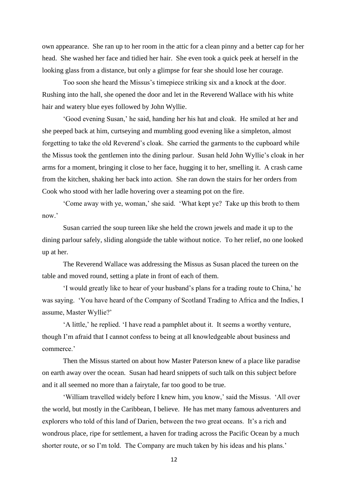own appearance. She ran up to her room in the attic for a clean pinny and a better cap for her head. She washed her face and tidied her hair. She even took a quick peek at herself in the looking glass from a distance, but only a glimpse for fear she should lose her courage.

Too soon she heard the Missus's timepiece striking six and a knock at the door. Rushing into the hall, she opened the door and let in the Reverend Wallace with his white hair and watery blue eyes followed by John Wyllie.

'Good evening Susan,' he said, handing her his hat and cloak. He smiled at her and she peeped back at him, curtseying and mumbling good evening like a simpleton, almost forgetting to take the old Reverend's cloak. She carried the garments to the cupboard while the Missus took the gentlemen into the dining parlour. Susan held John Wyllie's cloak in her arms for a moment, bringing it close to her face, hugging it to her, smelling it. A crash came from the kitchen, shaking her back into action. She ran down the stairs for her orders from Cook who stood with her ladle hovering over a steaming pot on the fire.

'Come away with ye, woman,' she said. 'What kept ye? Take up this broth to them now.'

Susan carried the soup tureen like she held the crown jewels and made it up to the dining parlour safely, sliding alongside the table without notice. To her relief, no one looked up at her.

The Reverend Wallace was addressing the Missus as Susan placed the tureen on the table and moved round, setting a plate in front of each of them.

'I would greatly like to hear of your husband's plans for a trading route to China,' he was saying. 'You have heard of the Company of Scotland Trading to Africa and the Indies, I assume, Master Wyllie?'

'A little,' he replied. 'I have read a pamphlet about it. It seems a worthy venture, though I'm afraid that I cannot confess to being at all knowledgeable about business and commerce.'

Then the Missus started on about how Master Paterson knew of a place like paradise on earth away over the ocean. Susan had heard snippets of such talk on this subject before and it all seemed no more than a fairytale, far too good to be true.

'William travelled widely before I knew him, you know,' said the Missus. 'All over the world, but mostly in the Caribbean, I believe. He has met many famous adventurers and explorers who told of this land of Darien, between the two great oceans. It's a rich and wondrous place, ripe for settlement, a haven for trading across the Pacific Ocean by a much shorter route, or so I'm told. The Company are much taken by his ideas and his plans.'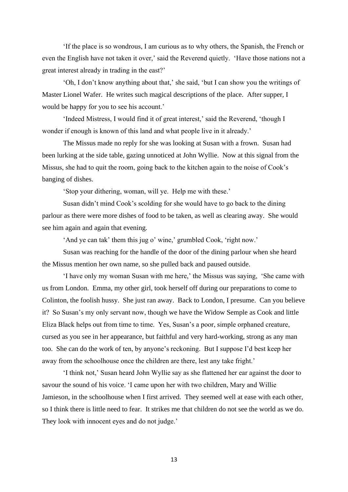'If the place is so wondrous, I am curious as to why others, the Spanish, the French or even the English have not taken it over,' said the Reverend quietly. 'Have those nations not a great interest already in trading in the east?'

'Oh, I don't know anything about that,' she said, 'but I can show you the writings of Master Lionel Wafer. He writes such magical descriptions of the place. After supper, I would be happy for you to see his account.'

'Indeed Mistress, I would find it of great interest,' said the Reverend, 'though I wonder if enough is known of this land and what people live in it already.'

The Missus made no reply for she was looking at Susan with a frown. Susan had been lurking at the side table, gazing unnoticed at John Wyllie. Now at this signal from the Missus, she had to quit the room, going back to the kitchen again to the noise of Cook's banging of dishes.

'Stop your dithering, woman, will ye. Help me with these.'

Susan didn't mind Cook's scolding for she would have to go back to the dining parlour as there were more dishes of food to be taken, as well as clearing away. She would see him again and again that evening.

'And ye can tak' them this jug o' wine,' grumbled Cook, 'right now.'

Susan was reaching for the handle of the door of the dining parlour when she heard the Missus mention her own name, so she pulled back and paused outside.

'I have only my woman Susan with me here,' the Missus was saying, 'She came with us from London. Emma, my other girl, took herself off during our preparations to come to Colinton, the foolish hussy. She just ran away. Back to London, I presume. Can you believe it? So Susan's my only servant now, though we have the Widow Semple as Cook and little Eliza Black helps out from time to time. Yes, Susan's a poor, simple orphaned creature, cursed as you see in her appearance, but faithful and very hard-working, strong as any man too. She can do the work of ten, by anyone's reckoning. But I suppose I'd best keep her away from the schoolhouse once the children are there, lest any take fright.'

'I think not,' Susan heard John Wyllie say as she flattened her ear against the door to savour the sound of his voice. 'I came upon her with two children, Mary and Willie Jamieson, in the schoolhouse when I first arrived. They seemed well at ease with each other, so I think there is little need to fear. It strikes me that children do not see the world as we do. They look with innocent eyes and do not judge.'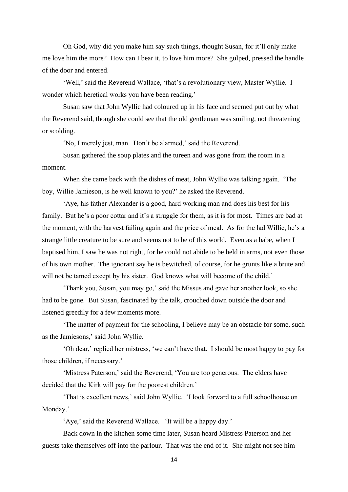Oh God, why did you make him say such things, thought Susan, for it'll only make me love him the more? How can I bear it, to love him more? She gulped, pressed the handle of the door and entered.

'Well,' said the Reverend Wallace, 'that's a revolutionary view, Master Wyllie. I wonder which heretical works you have been reading.'

Susan saw that John Wyllie had coloured up in his face and seemed put out by what the Reverend said, though she could see that the old gentleman was smiling, not threatening or scolding.

'No, I merely jest, man. Don't be alarmed,' said the Reverend.

Susan gathered the soup plates and the tureen and was gone from the room in a moment.

When she came back with the dishes of meat, John Wyllie was talking again. 'The boy, Willie Jamieson, is he well known to you?' he asked the Reverend.

'Aye, his father Alexander is a good, hard working man and does his best for his family. But he's a poor cottar and it's a struggle for them, as it is for most. Times are bad at the moment, with the harvest failing again and the price of meal. As for the lad Willie, he's a strange little creature to be sure and seems not to be of this world. Even as a babe, when I baptised him, I saw he was not right, for he could not abide to be held in arms, not even those of his own mother. The ignorant say he is bewitched, of course, for he grunts like a brute and will not be tamed except by his sister. God knows what will become of the child.'

'Thank you, Susan, you may go,' said the Missus and gave her another look, so she had to be gone. But Susan, fascinated by the talk, crouched down outside the door and listened greedily for a few moments more.

'The matter of payment for the schooling, I believe may be an obstacle for some, such as the Jamiesons,' said John Wyllie.

'Oh dear,' replied her mistress, 'we can't have that. I should be most happy to pay for those children, if necessary.'

'Mistress Paterson,' said the Reverend, 'You are too generous. The elders have decided that the Kirk will pay for the poorest children.'

'That is excellent news,' said John Wyllie. 'I look forward to a full schoolhouse on Monday.'

'Aye,' said the Reverend Wallace. 'It will be a happy day.'

Back down in the kitchen some time later, Susan heard Mistress Paterson and her guests take themselves off into the parlour. That was the end of it. She might not see him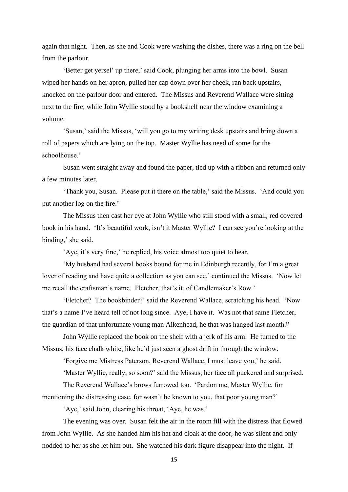again that night. Then, as she and Cook were washing the dishes, there was a ring on the bell from the parlour.

'Better get yersel' up there,' said Cook, plunging her arms into the bowl. Susan wiped her hands on her apron, pulled her cap down over her cheek, ran back upstairs, knocked on the parlour door and entered. The Missus and Reverend Wallace were sitting next to the fire, while John Wyllie stood by a bookshelf near the window examining a volume.

'Susan,' said the Missus, 'will you go to my writing desk upstairs and bring down a roll of papers which are lying on the top. Master Wyllie has need of some for the schoolhouse.'

Susan went straight away and found the paper, tied up with a ribbon and returned only a few minutes later.

'Thank you, Susan. Please put it there on the table,' said the Missus. 'And could you put another log on the fire.'

The Missus then cast her eye at John Wyllie who still stood with a small, red covered book in his hand. 'It's beautiful work, isn't it Master Wyllie? I can see you're looking at the binding,' she said.

'Aye, it's very fine,' he replied, his voice almost too quiet to hear.

'My husband had several books bound for me in Edinburgh recently, for I'm a great lover of reading and have quite a collection as you can see,' continued the Missus. 'Now let me recall the craftsman's name. Fletcher, that's it, of Candlemaker's Row.'

'Fletcher? The bookbinder?' said the Reverend Wallace, scratching his head. 'Now that's a name I've heard tell of not long since. Aye, I have it. Was not that same Fletcher, the guardian of that unfortunate young man Aikenhead, he that was hanged last month?'

John Wyllie replaced the book on the shelf with a jerk of his arm. He turned to the Missus, his face chalk white, like he'd just seen a ghost drift in through the window.

'Forgive me Mistress Paterson, Reverend Wallace, I must leave you,' he said.

'Master Wyllie, really, so soon?' said the Missus, her face all puckered and surprised.

The Reverend Wallace's brows furrowed too. 'Pardon me, Master Wyllie, for mentioning the distressing case, for wasn't he known to you, that poor young man?'

'Aye,' said John, clearing his throat, 'Aye, he was.'

The evening was over. Susan felt the air in the room fill with the distress that flowed from John Wyllie. As she handed him his hat and cloak at the door, he was silent and only nodded to her as she let him out. She watched his dark figure disappear into the night. If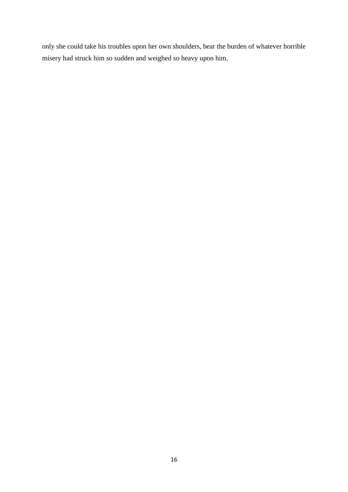only she could take his troubles upon her own shoulders, bear the burden of whatever horrible misery had struck him so sudden and weighed so heavy upon him.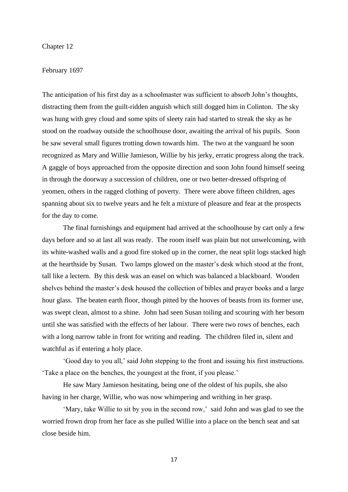# Chapter 12

## February 1697

The anticipation of his first day as a schoolmaster was sufficient to absorb John's thoughts, distracting them from the guilt-ridden anguish which still dogged him in Colinton. The sky was hung with grey cloud and some spits of sleety rain had started to streak the sky as he stood on the roadway outside the schoolhouse door, awaiting the arrival of his pupils. Soon he saw several small figures trotting down towards him. The two at the vanguard he soon recognized as Mary and Willie Jamieson, Willie by his jerky, erratic progress along the track. A gaggle of boys approached from the opposite direction and soon John found himself seeing in through the doorway a succession of children, one or two better-dressed offspring of yeomen, others in the ragged clothing of poverty. There were above fifteen children, ages spanning about six to twelve years and he felt a mixture of pleasure and fear at the prospects for the day to come.

The final furnishings and equipment had arrived at the schoolhouse by cart only a few days before and so at last all was ready. The room itself was plain but not unwelcoming, with its white-washed walls and a good fire stoked up in the corner, the neat split logs stacked high at the hearthside by Susan. Two lamps glowed on the master's desk which stood at the front, tall like a lectern. By this desk was an easel on which was balanced a blackboard. Wooden shelves behind the master's desk housed the collection of bibles and prayer books and a large hour glass. The beaten earth floor, though pitted by the hooves of beasts from its former use, was swept clean, almost to a shine. John had seen Susan toiling and scouring with her besom until she was satisfied with the effects of her labour. There were two rows of benches, each with a long narrow table in front for writing and reading. The children filed in, silent and watchful as if entering a holy place.

'Good day to you all,' said John stepping to the front and issuing his first instructions. 'Take a place on the benches, the youngest at the front, if you please.'

He saw Mary Jamieson hesitating, being one of the oldest of his pupils, she also having in her charge, Willie, who was now whimpering and writhing in her grasp.

'Mary, take Willie to sit by you in the second row,' said John and was glad to see the worried frown drop from her face as she pulled Willie into a place on the bench seat and sat close beside him.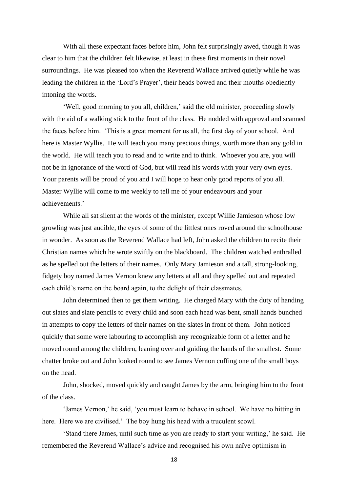With all these expectant faces before him, John felt surprisingly awed, though it was clear to him that the children felt likewise, at least in these first moments in their novel surroundings. He was pleased too when the Reverend Wallace arrived quietly while he was leading the children in the 'Lord's Prayer', their heads bowed and their mouths obediently intoning the words.

'Well, good morning to you all, children,' said the old minister, proceeding slowly with the aid of a walking stick to the front of the class. He nodded with approval and scanned the faces before him. 'This is a great moment for us all, the first day of your school. And here is Master Wyllie. He will teach you many precious things, worth more than any gold in the world. He will teach you to read and to write and to think. Whoever you are, you will not be in ignorance of the word of God, but will read his words with your very own eyes. Your parents will be proud of you and I will hope to hear only good reports of you all. Master Wyllie will come to me weekly to tell me of your endeavours and your achievements.'

While all sat silent at the words of the minister, except Willie Jamieson whose low growling was just audible, the eyes of some of the littlest ones roved around the schoolhouse in wonder. As soon as the Reverend Wallace had left, John asked the children to recite their Christian names which he wrote swiftly on the blackboard. The children watched enthralled as he spelled out the letters of their names. Only Mary Jamieson and a tall, strong-looking, fidgety boy named James Vernon knew any letters at all and they spelled out and repeated each child's name on the board again, to the delight of their classmates.

John determined then to get them writing. He charged Mary with the duty of handing out slates and slate pencils to every child and soon each head was bent, small hands bunched in attempts to copy the letters of their names on the slates in front of them. John noticed quickly that some were labouring to accomplish any recognizable form of a letter and he moved round among the children, leaning over and guiding the hands of the smallest. Some chatter broke out and John looked round to see James Vernon cuffing one of the small boys on the head.

John, shocked, moved quickly and caught James by the arm, bringing him to the front of the class.

'James Vernon,' he said, 'you must learn to behave in school. We have no hitting in here. Here we are civilised.' The boy hung his head with a truculent scowl.

'Stand there James, until such time as you are ready to start your writing,' he said. He remembered the Reverend Wallace's advice and recognised his own naïve optimism in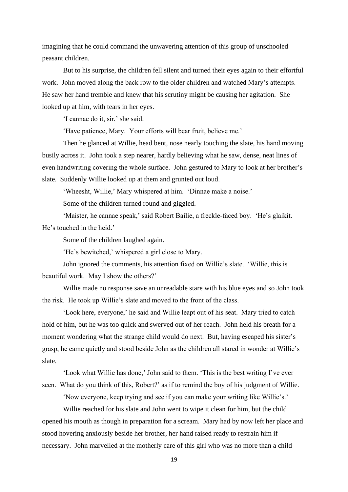imagining that he could command the unwavering attention of this group of unschooled peasant children.

But to his surprise, the children fell silent and turned their eyes again to their effortful work. John moved along the back row to the older children and watched Mary's attempts. He saw her hand tremble and knew that his scrutiny might be causing her agitation. She looked up at him, with tears in her eyes.

'I cannae do it, sir,' she said.

'Have patience, Mary. Your efforts will bear fruit, believe me.'

Then he glanced at Willie, head bent, nose nearly touching the slate, his hand moving busily across it. John took a step nearer, hardly believing what he saw, dense, neat lines of even handwriting covering the whole surface. John gestured to Mary to look at her brother's slate. Suddenly Willie looked up at them and grunted out loud.

'Wheesht, Willie,' Mary whispered at him. 'Dinnae make a noise.'

Some of the children turned round and giggled.

'Maister, he cannae speak,' said Robert Bailie, a freckle-faced boy. 'He's glaikit. He's touched in the heid.'

Some of the children laughed again.

'He's bewitched,' whispered a girl close to Mary.

John ignored the comments, his attention fixed on Willie's slate. 'Willie, this is beautiful work. May I show the others?'

Willie made no response save an unreadable stare with his blue eyes and so John took the risk. He took up Willie's slate and moved to the front of the class.

'Look here, everyone,' he said and Willie leapt out of his seat. Mary tried to catch hold of him, but he was too quick and swerved out of her reach. John held his breath for a moment wondering what the strange child would do next. But, having escaped his sister's grasp, he came quietly and stood beside John as the children all stared in wonder at Willie's slate.

'Look what Willie has done,' John said to them. 'This is the best writing I've ever seen. What do you think of this, Robert?' as if to remind the boy of his judgment of Willie.

'Now everyone, keep trying and see if you can make your writing like Willie's.'

Willie reached for his slate and John went to wipe it clean for him, but the child opened his mouth as though in preparation for a scream. Mary had by now left her place and stood hovering anxiously beside her brother, her hand raised ready to restrain him if necessary. John marvelled at the motherly care of this girl who was no more than a child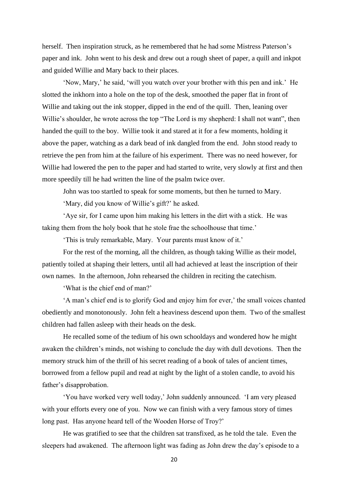herself. Then inspiration struck, as he remembered that he had some Mistress Paterson's paper and ink. John went to his desk and drew out a rough sheet of paper, a quill and inkpot and guided Willie and Mary back to their places.

'Now, Mary,' he said, 'will you watch over your brother with this pen and ink.' He slotted the inkhorn into a hole on the top of the desk, smoothed the paper flat in front of Willie and taking out the ink stopper, dipped in the end of the quill. Then, leaning over Willie's shoulder, he wrote across the top "The Lord is my shepherd: I shall not want", then handed the quill to the boy. Willie took it and stared at it for a few moments, holding it above the paper, watching as a dark bead of ink dangled from the end. John stood ready to retrieve the pen from him at the failure of his experiment. There was no need however, for Willie had lowered the pen to the paper and had started to write, very slowly at first and then more speedily till he had written the line of the psalm twice over.

John was too startled to speak for some moments, but then he turned to Mary.

'Mary, did you know of Willie's gift?' he asked.

'Aye sir, for I came upon him making his letters in the dirt with a stick. He was taking them from the holy book that he stole frae the schoolhouse that time.'

'This is truly remarkable, Mary. Your parents must know of it.'

For the rest of the morning, all the children, as though taking Willie as their model, patiently toiled at shaping their letters, until all had achieved at least the inscription of their own names. In the afternoon, John rehearsed the children in reciting the catechism.

'What is the chief end of man?'

'A man's chief end is to glorify God and enjoy him for ever,' the small voices chanted obediently and monotonously. John felt a heaviness descend upon them. Two of the smallest children had fallen asleep with their heads on the desk.

He recalled some of the tedium of his own schooldays and wondered how he might awaken the children's minds, not wishing to conclude the day with dull devotions. Then the memory struck him of the thrill of his secret reading of a book of tales of ancient times, borrowed from a fellow pupil and read at night by the light of a stolen candle, to avoid his father's disapprobation.

'You have worked very well today,' John suddenly announced. 'I am very pleased with your efforts every one of you. Now we can finish with a very famous story of times long past. Has anyone heard tell of the Wooden Horse of Troy?'

He was gratified to see that the children sat transfixed, as he told the tale. Even the sleepers had awakened. The afternoon light was fading as John drew the day's episode to a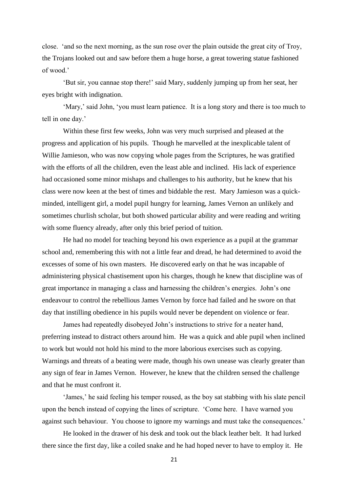close. 'and so the next morning, as the sun rose over the plain outside the great city of Troy, the Trojans looked out and saw before them a huge horse, a great towering statue fashioned of wood.'

'But sir, you cannae stop there!' said Mary, suddenly jumping up from her seat, her eyes bright with indignation.

'Mary,' said John, 'you must learn patience. It is a long story and there is too much to tell in one day.'

Within these first few weeks, John was very much surprised and pleased at the progress and application of his pupils. Though he marvelled at the inexplicable talent of Willie Jamieson, who was now copying whole pages from the Scriptures, he was gratified with the efforts of all the children, even the least able and inclined. His lack of experience had occasioned some minor mishaps and challenges to his authority, but he knew that his class were now keen at the best of times and biddable the rest. Mary Jamieson was a quickminded, intelligent girl, a model pupil hungry for learning, James Vernon an unlikely and sometimes churlish scholar, but both showed particular ability and were reading and writing with some fluency already, after only this brief period of tuition.

He had no model for teaching beyond his own experience as a pupil at the grammar school and, remembering this with not a little fear and dread, he had determined to avoid the excesses of some of his own masters. He discovered early on that he was incapable of administering physical chastisement upon his charges, though he knew that discipline was of great importance in managing a class and harnessing the children's energies. John's one endeavour to control the rebellious James Vernon by force had failed and he swore on that day that instilling obedience in his pupils would never be dependent on violence or fear.

James had repeatedly disobeyed John's instructions to strive for a neater hand, preferring instead to distract others around him. He was a quick and able pupil when inclined to work but would not hold his mind to the more laborious exercises such as copying. Warnings and threats of a beating were made, though his own unease was clearly greater than any sign of fear in James Vernon. However, he knew that the children sensed the challenge and that he must confront it.

'James,' he said feeling his temper roused, as the boy sat stabbing with his slate pencil upon the bench instead of copying the lines of scripture. 'Come here. I have warned you against such behaviour. You choose to ignore my warnings and must take the consequences.'

He looked in the drawer of his desk and took out the black leather belt. It had lurked there since the first day, like a coiled snake and he had hoped never to have to employ it. He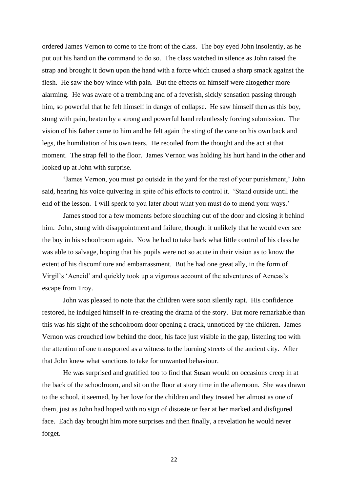ordered James Vernon to come to the front of the class. The boy eyed John insolently, as he put out his hand on the command to do so. The class watched in silence as John raised the strap and brought it down upon the hand with a force which caused a sharp smack against the flesh. He saw the boy wince with pain. But the effects on himself were altogether more alarming. He was aware of a trembling and of a feverish, sickly sensation passing through him, so powerful that he felt himself in danger of collapse. He saw himself then as this boy, stung with pain, beaten by a strong and powerful hand relentlessly forcing submission. The vision of his father came to him and he felt again the sting of the cane on his own back and legs, the humiliation of his own tears. He recoiled from the thought and the act at that moment. The strap fell to the floor. James Vernon was holding his hurt hand in the other and looked up at John with surprise.

'James Vernon, you must go outside in the yard for the rest of your punishment,' John said, hearing his voice quivering in spite of his efforts to control it. 'Stand outside until the end of the lesson. I will speak to you later about what you must do to mend your ways.'

James stood for a few moments before slouching out of the door and closing it behind him. John, stung with disappointment and failure, thought it unlikely that he would ever see the boy in his schoolroom again. Now he had to take back what little control of his class he was able to salvage, hoping that his pupils were not so acute in their vision as to know the extent of his discomfiture and embarrassment. But he had one great ally, in the form of Virgil's 'Aeneid' and quickly took up a vigorous account of the adventures of Aeneas's escape from Troy.

John was pleased to note that the children were soon silently rapt. His confidence restored, he indulged himself in re-creating the drama of the story. But more remarkable than this was his sight of the schoolroom door opening a crack, unnoticed by the children. James Vernon was crouched low behind the door, his face just visible in the gap, listening too with the attention of one transported as a witness to the burning streets of the ancient city. After that John knew what sanctions to take for unwanted behaviour.

He was surprised and gratified too to find that Susan would on occasions creep in at the back of the schoolroom, and sit on the floor at story time in the afternoon. She was drawn to the school, it seemed, by her love for the children and they treated her almost as one of them, just as John had hoped with no sign of distaste or fear at her marked and disfigured face. Each day brought him more surprises and then finally, a revelation he would never forget.